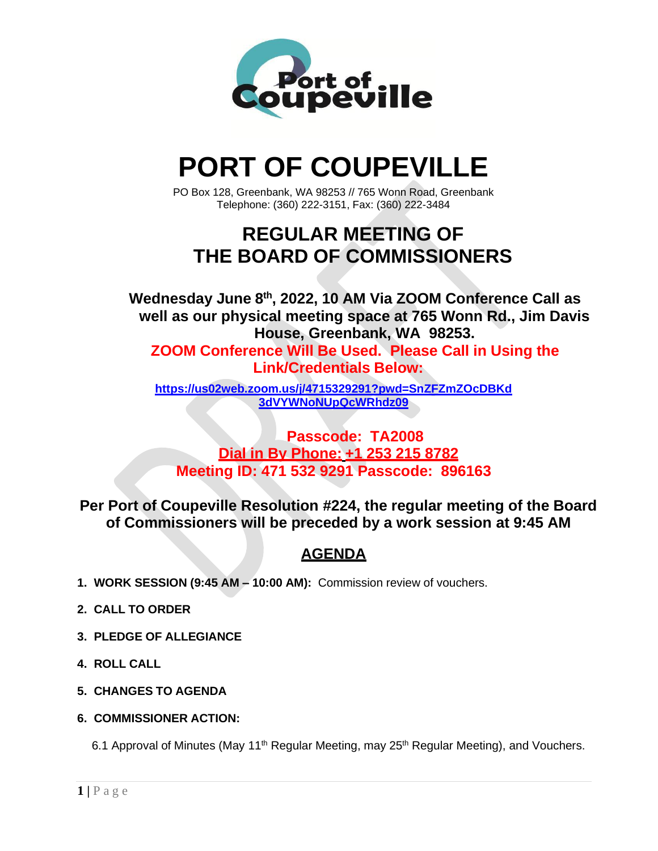

# **PORT OF COUPEVILLE**

PO Box 128, Greenbank, WA 98253 // 765 Wonn Road, Greenbank Telephone: (360) 222-3151, Fax: (360) 222-3484

# **REGULAR MEETING OF THE BOARD OF COMMISSIONERS**

**Wednesday June 8th , 2022, 10 AM Via ZOOM Conference Call as well as our physical meeting space at 765 Wonn Rd., Jim Davis House, Greenbank, WA 98253.**

**ZOOM Conference Will Be Used. Please Call in Using the Link/Credentials Below:**

**[https://us02web.zoom.us/j/4715329291?pwd=SnZFZmZOcDBKd](https://us02web.zoom.us/j/4715329291?pwd=SnZFZmZOcDBKd3dVYWNoNUpQcWRhdz09) [3dVYWNoNUpQcWRhdz09](https://us02web.zoom.us/j/4715329291?pwd=SnZFZmZOcDBKd3dVYWNoNUpQcWRhdz09)**

### **Passcode: TA2008 Dial in By Phone: +1 253 215 8782 Meeting ID: 471 532 9291 Passcode: 896163**

**Per Port of Coupeville Resolution #224, the regular meeting of the Board of Commissioners will be preceded by a work session at 9:45 AM**

## **AGENDA**

- **1. WORK SESSION (9:45 AM – 10:00 AM):** Commission review of vouchers.
- **2. CALL TO ORDER**
- **3. PLEDGE OF ALLEGIANCE**
- **4. ROLL CALL**
- **5. CHANGES TO AGENDA**
- **6. COMMISSIONER ACTION:**

6.1 Approval of Minutes (May 11<sup>th</sup> Regular Meeting, may 25<sup>th</sup> Regular Meeting), and Vouchers.